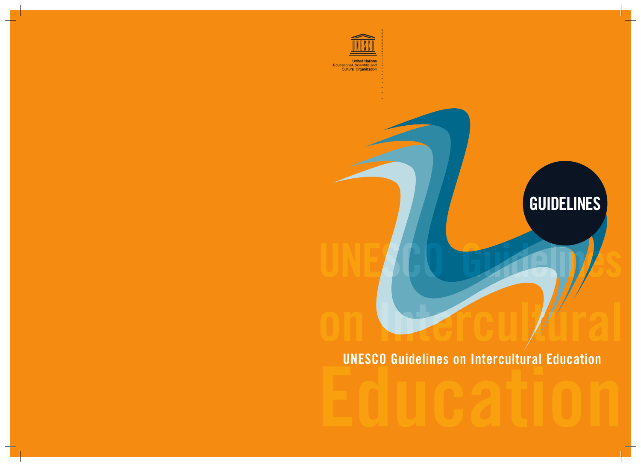

United Nations<br>Educational, Scientific and<br>Cultural Organization

# **GUIDELINES**

**Excession direction and contain and current of the contract of the current of the current of the current of the current of the current of the current of the current of the current of the current of the current of the curr UNESCO Guidelines on Intercultural Education**

**on Intercultural Intercultu ntercultu**

UNESCO GUIDELLES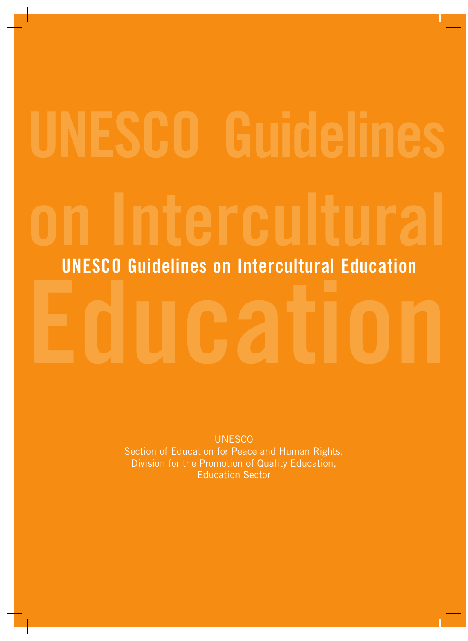# **UNESCO Guidelines on Intercultural Education UNESCO Guidelines on Intercultural Education**

**UNESCO** Section of Education for Peace and Human Rights, Division for the Promotion of Quality Education, Education Sector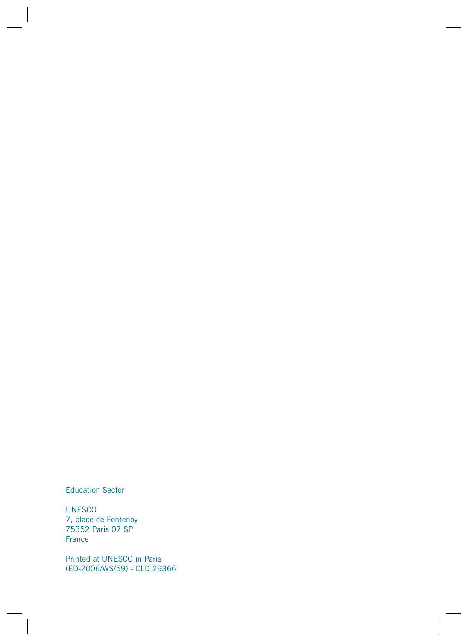Education Sector

UNESCO 7, place de Fontenoy 75352 Paris 07 SP France

Printed at UNESCO in Paris (ED-2006/WS/59) - CLD 29366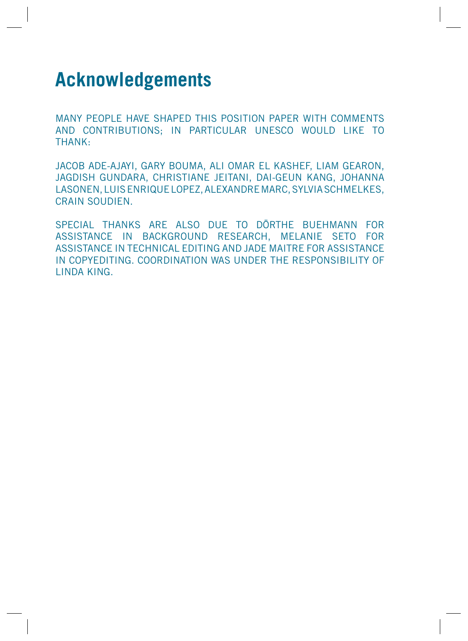# **Acknowledgements**

MANY PEOPLE HAVE SHAPED THIS POSITION PAPER WITH COMMENTS AND CONTRIBUTIONS; IN PARTICULAR UNESCO WOULD LIKE TO THANK:

JACOB ADE-AJAYI, GARY BOUMA, ALI OMAR EL KASHEF, LIAM GEARON, JAGDISH GUNDARA, CHRISTIANE JEITANI, DAI-GEUN KANG, JOHANNA LASONEN, LUIS ENRIQUE LOPEZ, ALEXANDRE MARC, SYLVIA SCHMELKES, CRAIN SOUDIEN.

SPECIAL THANKS ARE ALSO DUE TO DÖRTHE BUEHMANN FOR ASSISTANCE IN BACKGROUND RESEARCH, MELANIE SETO FOR ASSISTANCE IN TECHNICAL EDITING AND JADE MAITRE FOR ASSISTANCE IN COPYEDITING. COORDINATION WAS UNDER THE RESPONSIBILITY OF LINDA KING.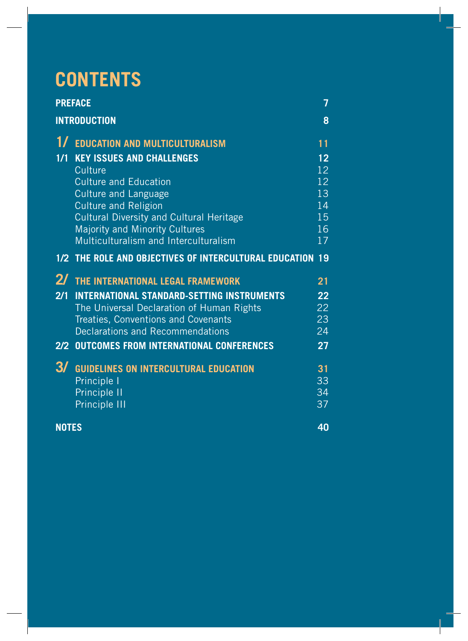# **CONTENTS**

| <b>PREFACE</b>      |                                                           | 7               |  |
|---------------------|-----------------------------------------------------------|-----------------|--|
| <b>INTRODUCTION</b> |                                                           | 8               |  |
| $1/\sqrt{2}$        | <b>EDUCATION AND MULTICULTURALISM</b>                     | $\overline{11}$ |  |
| 1/1                 | <b>KEY ISSUES AND CHALLENGES</b>                          | 12              |  |
|                     | Culture                                                   | 12              |  |
|                     | <b>Culture and Education</b>                              | 12              |  |
|                     | <b>Culture and Language</b>                               | 13              |  |
|                     | <b>Culture and Religion</b>                               | 14              |  |
|                     | <b>Cultural Diversity and Cultural Heritage</b>           | 15              |  |
|                     | Majority and Minority Cultures                            | 16              |  |
|                     | Multiculturalism and Interculturalism                     | 17              |  |
|                     | 1/2 THE ROLE AND OBJECTIVES OF INTERCULTURAL EDUCATION 19 |                 |  |
| $2\sqrt{2}$         | THE INTERNATIONAL LEGAL FRAMEWORK                         | 21              |  |
| 2/1                 | <b>INTERNATIONAL STANDARD-SETTING INSTRUMENTS</b>         | 22              |  |
|                     | The Universal Declaration of Human Rights                 | 22              |  |
|                     | Treaties, Conventions and Covenants                       | 23              |  |
|                     | <b>Declarations and Recommendations</b>                   | 24              |  |
| 2/2                 | <b>OUTCOMES FROM INTERNATIONAL CONFERENCES</b>            | 27              |  |
| 3/                  | <b>GUIDELINES ON INTERCULTURAL EDUCATION</b>              | 31              |  |
|                     | Principle I                                               | 33              |  |
|                     | Principle II                                              | 34              |  |
|                     | Principle III                                             | 37              |  |
|                     | 40<br><b>NOTES</b>                                        |                 |  |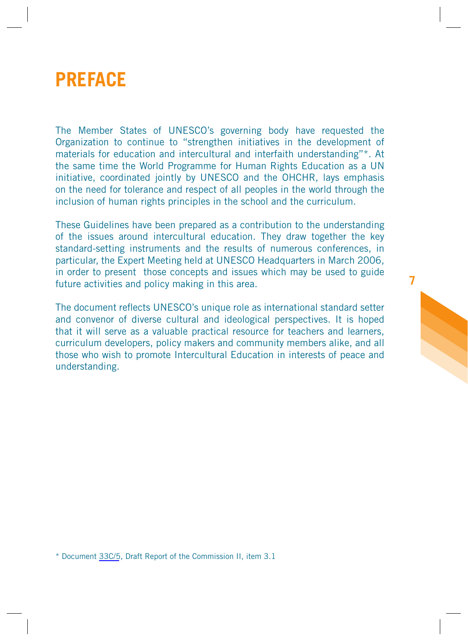<span id="page-5-0"></span>

The Member States of UNESCO's governing body have requested the Organization to continue to "strengthen initiatives in the development of materials for education and intercultural and interfaith understanding"\*. At the same time the World Programme for Human Rights Education as a UN initiative, coordinated jointly by UNESCO and the OHCHR, lays emphasis on the need for tolerance and respect of all peoples in the world through the inclusion of human rights principles in the school and the curriculum.

These Guidelines have been prepared as a contribution to the understanding of the issues around intercultural education. They draw together the key standard-setting instruments and the results of numerous conferences, in particular, the Expert Meeting held at UNESCO Headquarters in March 2006, in order to present those concepts and issues which may be used to guide future activities and policy making in this area.

**7**

The document reflects UNESCO's unique role as international standard setter and convenor of diverse cultural and ideological perspectives. It is hoped that it will serve as a valuable practical resource for teachers and learners, curriculum developers, policy makers and community members alike, and all those who wish to promote Intercultural Education in interests of peace and understanding.

\* Document 33C/5, Draft Report of the Commission II, item 3.1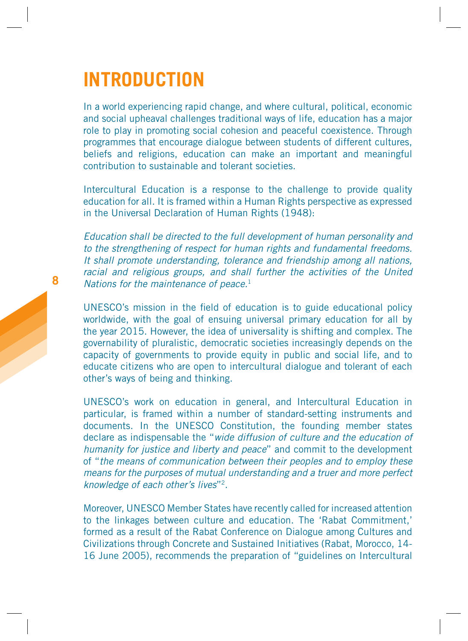# <span id="page-6-0"></span>**INTRODUCTION**

In a world experiencing rapid change, and where cultural, political, economic and social upheaval challenges traditional ways of life, education has a major role to play in promoting social cohesion and peaceful coexistence. Through programmes that encourage dialogue between students of different cultures, beliefs and religions, education can make an important and meaningful contribution to sustainable and tolerant societies.

Intercultural Education is a response to the challenge to provide quality education for all. It is framed within a Human Rights perspective as expressed in the Universal Declaration of Human Rights (1948):

Education shall be directed to the full development of human personality and to the strengthening of respect for human rights and fundamental freedoms. It shall promote understanding, tolerance and friendship among all nations, racial and religious groups, and shall further the activities of the United Nations for the maintenance of peace.<sup>1</sup>

UNESCO's mission in the field of education is to guide educational policy worldwide, with the goal of ensuing universal primary education for all by the year 2015. However, the idea of universality is shifting and complex. The governability of pluralistic, democratic societies increasingly depends on the capacity of governments to provide equity in public and social life, and to educate citizens who are open to intercultural dialogue and tolerant of each other's ways of being and thinking.

UNESCO's work on education in general, and Intercultural Education in particular, is framed within a number of standard-setting instruments and documents. In the UNESCO Constitution, the founding member states declare as indispensable the "wide diffusion of culture and the education of humanity for justice and liberty and peace" and commit to the development of "the means of communication between their peoples and to employ these means for the purposes of mutual understanding and a truer and more perfect knowledge of each other's lives"2.

Moreover, UNESCO Member States have recently called for increased attention to the linkages between culture and education. The 'Rabat Commitment,' formed as a result of the Rabat Conference on Dialogue among Cultures and Civilizations through Concrete and Sustained Initiatives (Rabat, Morocco, 14- 16 June 2005), recommends the preparation of "guidelines on Intercultural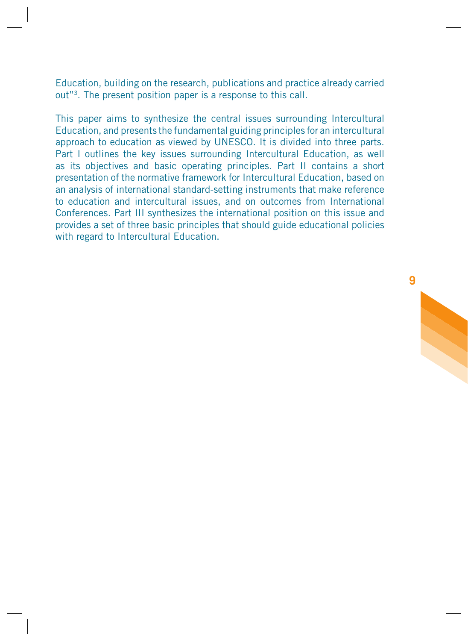Education, building on the research, publications and practice already carried out"3. The present position paper is a response to this call.

This paper aims to synthesize the central issues surrounding Intercultural Education, and presents the fundamental guiding principles for an intercultural approach to education as viewed by UNESCO. It is divided into three parts. Part I outlines the key issues surrounding Intercultural Education, as well as its objectives and basic operating principles. Part II contains a short presentation of the normative framework for Intercultural Education, based on an analysis of international standard-setting instruments that make reference to education and intercultural issues, and on outcomes from International Conferences. Part III synthesizes the international position on this issue and provides a set of three basic principles that should guide educational policies with regard to Intercultural Education.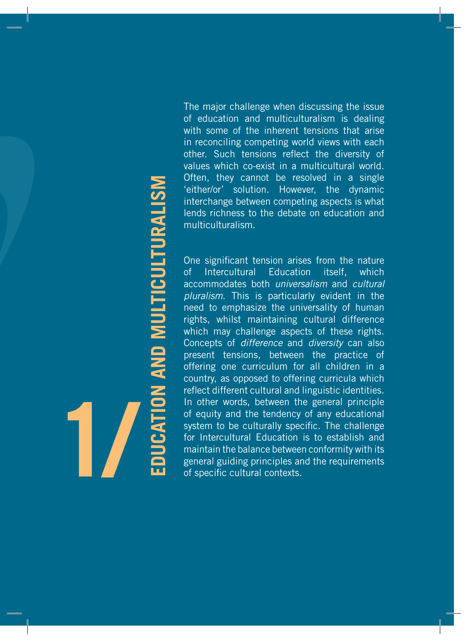The major challenge when discussing the issue of education and multiculturalism is dealing with some of the inherent tensions that arise in reconciling competing world views with each other. Such tensions reflect the diversity of values which co-exist in a multicultural world. Often, they cannot be resolved in a single 'either/or' solution. However, the dynamic interchange between competing aspects is what lends richness to the debate on education and multiculturalism.

<span id="page-8-0"></span>One significant tension arises from the nature of Intercultural Education itself, which accommodates both universalism and cultural pluralism. This is particularly evident in the need to emphasize the universality of human rights, whilst maintaining cultural difference which may challenge aspects of these rights. Concepts of difference and diversity can also present tensions, between the practice of offering one curriculum for all children in a country, as opposed to offering curricula which reflect different cultural and linguistic identities. In other words, between the general principle of equity and the tendency of any educational system to be culturally specific. The challenge for Intercultural Education is to establish and maintain the balance between conformity with its general guiding principles and the requirements of the territor' solution. However, the territor's content that the debath multicultural ism.<br>
One significant tension arises to the debath multicultural scheme lends richness to the debath multicultural accommodates both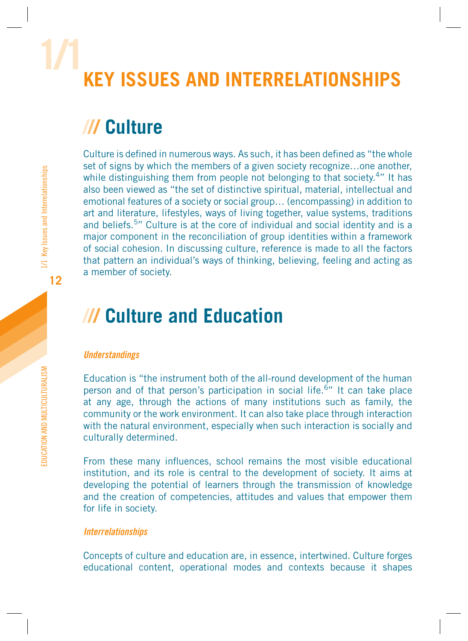# <span id="page-9-0"></span>**1/1 KEY ISSUES AND INTERRELATIONSHIPS**

# **/// Culture**

Culture is defined in numerous ways. As such, it has been defined as "the whole set of signs by which the members of a given society recognize…one another, while distinguishing them from people not belonging to that society.<sup>4</sup>" It has also been viewed as "the set of distinctive spiritual, material, intellectual and emotional features of a society or social group… (encompassing) in addition to art and literature, lifestyles, ways of living together, value systems, traditions and beliefs.5" Culture is at the core of individual and social identity and is a major component in the reconciliation of group identities within a framework of social cohesion. In discussing culture, reference is made to all the factors that pattern an individual's ways of thinking, believing, feeling and acting as a member of society.

# **/// Culture and Education**

### **Understandings**

Education is "the instrument both of the all-round development of the human person and of that person's participation in social life.<sup>6</sup>" It can take place at any age, through the actions of many institutions such as family, the community or the work environment. It can also take place through interaction with the natural environment, especially when such interaction is socially and culturally determined.

From these many influences, school remains the most visible educational institution, and its role is central to the development of society. It aims at developing the potential of learners through the transmission of knowledge and the creation of competencies, attitudes and values that empower them for life in society.

### **Interrelationships**

Concepts of culture and education are, in essence, intertwined. Culture forges educational content, operational modes and contexts because it shapes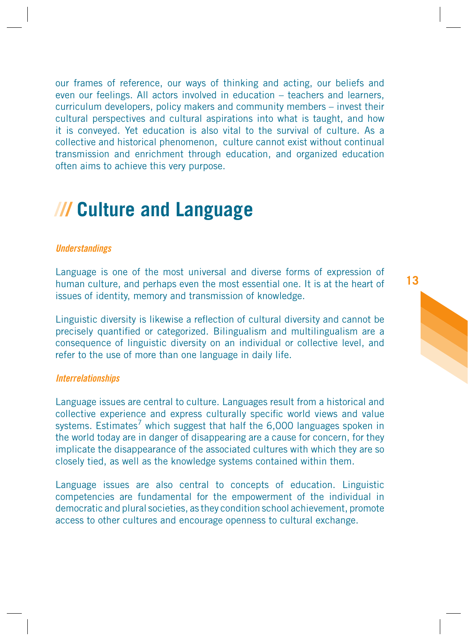<span id="page-10-0"></span>our frames of reference, our ways of thinking and acting, our beliefs and even our feelings. All actors involved in education – teachers and learners, curriculum developers, policy makers and community members – invest their cultural perspectives and cultural aspirations into what is taught, and how it is conveyed. Yet education is also vital to the survival of culture. As a collective and historical phenomenon, culture cannot exist without continual transmission and enrichment through education, and organized education often aims to achieve this very purpose.

# **/// Culture and Language**

### **Understandings**

Language is one of the most universal and diverse forms of expression of human culture, and perhaps even the most essential one. It is at the heart of issues of identity, memory and transmission of knowledge.

Linguistic diversity is likewise a reflection of cultural diversity and cannot be precisely quantified or categorized. Bilingualism and multilingualism are a consequence of linguistic diversity on an individual or collective level, and refer to the use of more than one language in daily life.

### **Interrelationships**

Language issues are central to culture. Languages result from a historical and collective experience and express culturally specific world views and value systems. Estimates<sup>7</sup> which suggest that half the  $6,000$  languages spoken in the world today are in danger of disappearing are a cause for concern, for they implicate the disappearance of the associated cultures with which they are so closely tied, as well as the knowledge systems contained within them.

Language issues are also central to concepts of education. Linguistic competencies are fundamental for the empowerment of the individual in democratic and plural societies, as they condition school achievement, promote access to other cultures and encourage openness to cultural exchange.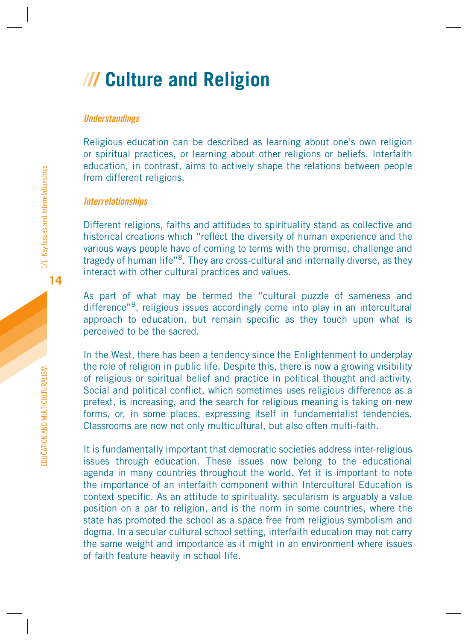# <span id="page-11-0"></span>**/// Culture and Religion**

### **Understandings**

Religious education can be described as learning about one's own religion or spiritual practices, or learning about other religions or beliefs. Interfaith education, in contrast, aims to actively shape the relations between people from different religions.

### **Interrelationships**

Different religions, faiths and attitudes to spirituality stand as collective and historical creations which "reflect the diversity of human experience and the various ways people have of coming to terms with the promise, challenge and tragedy of human life"<sup>8</sup>. They are cross-cultural and internally diverse, as they interact with other cultural practices and values.

As part of what may be termed the "cultural puzzle of sameness and difference"9, religious issues accordingly come into play in an intercultural approach to education, but remain specific as they touch upon what is perceived to be the sacred.

In the West, there has been a tendency since the Enlightenment to underplay the role of religion in public life. Despite this, there is now a growing visibility of religious or spiritual belief and practice in political thought and activity. Social and political conflict, which sometimes uses religious difference as a pretext, is increasing, and the search for religious meaning is taking on new forms, or, in some places, expressing itself in fundamentalist tendencies. Classrooms are now not only multicultural, but also often multi-faith.

It is fundamentally important that democratic societies address inter-religious issues through education. These issues now belong to the educational agenda in many countries throughout the world. Yet it is important to note the importance of an interfaith component within Intercultural Education is context specific. As an attitude to spirituality, secularism is arguably a value position on a par to religion, and is the norm in some countries, where the state has promoted the school as a space free from religious symbolism and dogma. In a secular cultural school setting, interfaith education may not carry the same weight and importance as it might in an environment where issues of faith feature heavily in school life.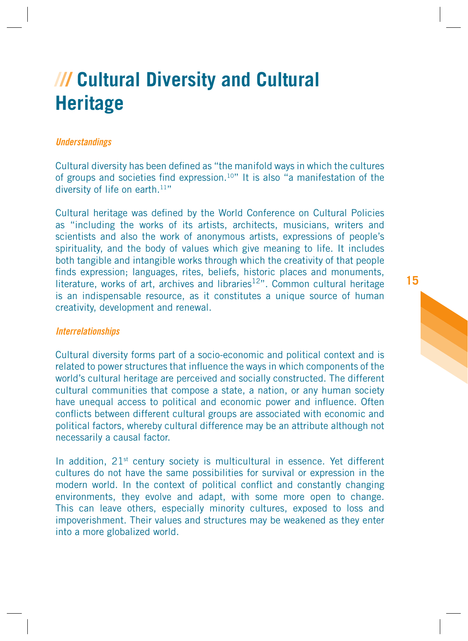# <span id="page-12-0"></span>**/// Cultural Diversity and Cultural Heritage**

### **Understandings**

Cultural diversity has been defined as "the manifold ways in which the cultures of groups and societies find expression.<sup>10"</sup> It is also "a manifestation of the diversity of life on earth. $11"$ 

Cultural heritage was defined by the World Conference on Cultural Policies as "including the works of its artists, architects, musicians, writers and scientists and also the work of anonymous artists, expressions of people's spirituality, and the body of values which give meaning to life. It includes both tangible and intangible works through which the creativity of that people finds expression: languages, rites, beliefs, historic places and monuments, literature, works of art, archives and libraries $12$ ". Common cultural heritage is an indispensable resource, as it constitutes a unique source of human creativity, development and renewal.

### **Interrelationships**

Cultural diversity forms part of a socio-economic and political context and is related to power structures that influence the ways in which components of the world's cultural heritage are perceived and socially constructed. The different cultural communities that compose a state, a nation, or any human society have unequal access to political and economic power and influence. Often conflicts between different cultural groups are associated with economic and political factors, whereby cultural difference may be an attribute although not necessarily a causal factor.

In addition, 21<sup>st</sup> century society is multicultural in essence. Yet different cultures do not have the same possibilities for survival or expression in the modern world. In the context of political conflict and constantly changing environments, they evolve and adapt, with some more open to change. This can leave others, especially minority cultures, exposed to loss and impoverishment. Their values and structures may be weakened as they enter into a more globalized world.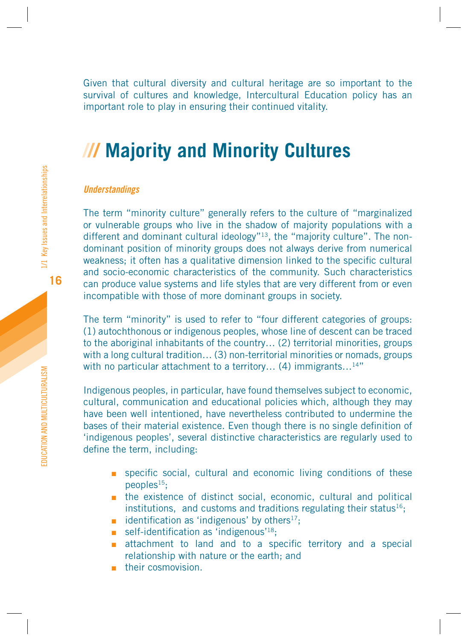<span id="page-13-0"></span>Given that cultural diversity and cultural heritage are so important to the survival of cultures and knowledge, Intercultural Education policy has an important role to play in ensuring their continued vitality.

# **/// Majority and Minority Cultures**

### **Understandings**

The term "minority culture" generally refers to the culture of "marginalized or vulnerable groups who live in the shadow of majority populations with a different and dominant cultural ideology"<sup>13</sup>, the "majority culture". The nondominant position of minority groups does not always derive from numerical weakness: it often has a qualitative dimension linked to the specific cultural and socio-economic characteristics of the community. Such characteristics can produce value systems and life styles that are very different from or even incompatible with those of more dominant groups in society.

The term "minority" is used to refer to "four different categories of groups: (1) autochthonous or indigenous peoples, whose line of descent can be traced to the aboriginal inhabitants of the country… (2) territorial minorities, groups with a long cultural tradition... (3) non-territorial minorities or nomads, groups with no particular attachment to a territory... (4) immigrants...<sup>14"</sup>

Indigenous peoples, in particular, have found themselves subject to economic, cultural, communication and educational policies which, although they may have been well intentioned, have nevertheless contributed to undermine the bases of their material existence. Even though there is no single definition of 'indigenous peoples', several distinctive characteristics are regularly used to define the term, including:

- specific social, cultural and economic living conditions of these peoples15;
- the existence of distinct social, economic, cultural and political institutions, and customs and traditions regulating their status<sup>16</sup>;
- $\blacksquare$  identification as 'indigenous' by others<sup>17</sup>;
- self-identification as  $\cdot$ indigenous<sup>'18</sup>;
- attachment to land and to a specific territory and a special relationship with nature or the earth; and
- their cosmovision.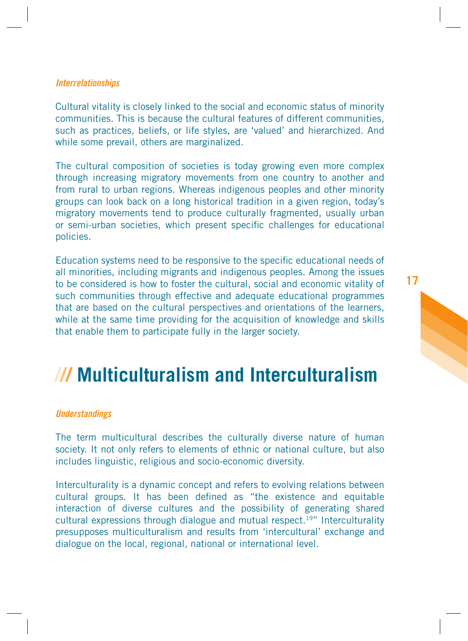### <span id="page-14-0"></span>**Interrelationships**

Cultural vitality is closely linked to the social and economic status of minority communities. This is because the cultural features of different communities, such as practices, beliefs, or life styles, are 'valued' and hierarchized. And while some prevail, others are marginalized.

The cultural composition of societies is today growing even more complex through increasing migratory movements from one country to another and from rural to urban regions. Whereas indigenous peoples and other minority groups can look back on a long historical tradition in a given region, today's migratory movements tend to produce culturally fragmented, usually urban or semi-urban societies, which present specific challenges for educational policies.

Education systems need to be responsive to the specific educational needs of all minorities, including migrants and indigenous peoples. Among the issues to be considered is how to foster the cultural, social and economic vitality of such communities through effective and adequate educational programmes that are based on the cultural perspectives and orientations of the learners, while at the same time providing for the acquisition of knowledge and skills that enable them to participate fully in the larger society.

# **/// Multiculturalism and Interculturalism**

### **Understandings**

The term multicultural describes the culturally diverse nature of human society. It not only refers to elements of ethnic or national culture, but also includes linguistic, religious and socio-economic diversity.

Interculturality is a dynamic concept and refers to evolving relations between cultural groups. It has been defined as "the existence and equitable interaction of diverse cultures and the possibility of generating shared cultural expressions through dialogue and mutual respect.19" Interculturality presupposes multiculturalism and results from 'intercultural' exchange and dialogue on the local, regional, national or international level.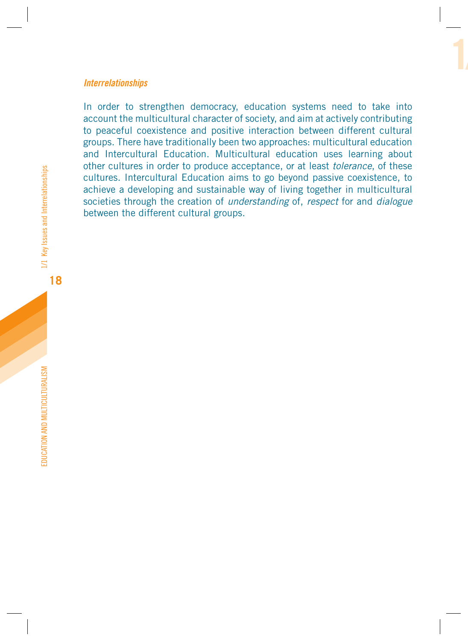### **Interrelationships**

In order to strengthen democracy, education systems need to take into account the multicultural character of society, and aim at actively contributing to peaceful coexistence and positive interaction between different cultural groups. There have traditionally been two approaches: multicultural education and Intercultural Education. Multicultural education uses learning about other cultures in order to produce acceptance, or at least tolerance, of these cultures. Intercultural Education aims to go beyond passive coexistence, to achieve a developing and sustainable way of living together in multicultural societies through the creation of *understanding* of, *respect* for and *dialogue* between the different cultural groups.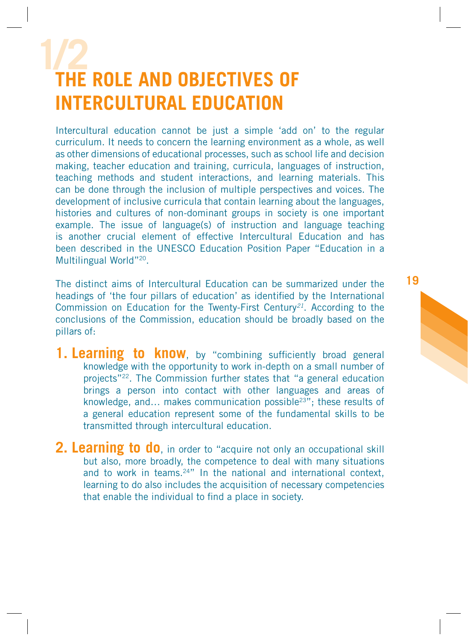# <span id="page-16-0"></span>**1/2 THE ROLE AND OBJECTIVES OF INTERCULTURAL EDUCATION**

Intercultural education cannot be just a simple 'add on' to the regular curriculum. It needs to concern the learning environment as a whole, as well as other dimensions of educational processes, such as school life and decision making, teacher education and training, curricula, languages of instruction, teaching methods and student interactions, and learning materials. This can be done through the inclusion of multiple perspectives and voices. The development of inclusive curricula that contain learning about the languages, histories and cultures of non-dominant groups in society is one important example. The issue of language(s) of instruction and language teaching is another crucial element of effective Intercultural Education and has been described in the UNESCO Education Position Paper "Education in a Multilingual World"20.

The distinct aims of Intercultural Education can be summarized under the headings of 'the four pillars of education' as identified by the International Commission on Education for the Twenty-First Century<sup>21</sup>. According to the conclusions of the Commission, education should be broadly based on the pillars of:

- **1. Learning to know**, by "combining sufficiently broad general knowledge with the opportunity to work in-depth on a small number of projects"22. The Commission further states that "a general education brings a person into contact with other languages and areas of knowledge, and… makes communication possible23"; these results of a general education represent some of the fundamental skills to be transmitted through intercultural education.
- **2. Learning to do**, in order to "acquire not only an occupational skill but also, more broadly, the competence to deal with many situations and to work in teams.24" In the national and international context, learning to do also includes the acquisition of necessary competencies that enable the individual to find a place in society.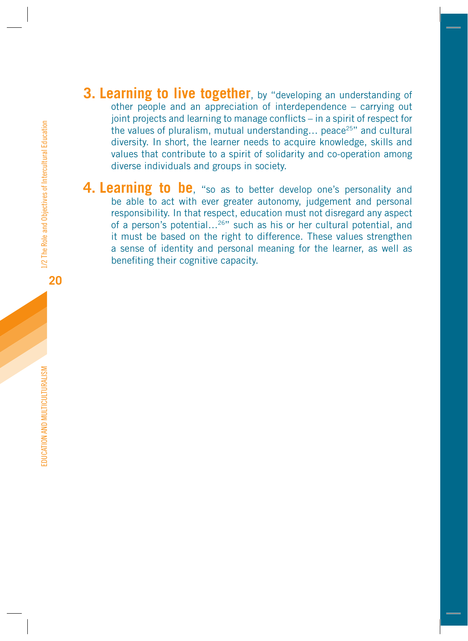- <span id="page-17-0"></span>**3. Learning to live together**, by "developing an understanding of other people and an appreciation of interdependence – carrying out joint projects and learning to manage conflicts – in a spirit of respect for the values of pluralism, mutual understanding... peace<sup>25"</sup> and cultural diversity. In short, the learner needs to acquire knowledge, skills and values that contribute to a spirit of solidarity and co-operation among diverse individuals and groups in society.
- **4. Learning to be**, "so as to better develop one's personality and be able to act with ever greater autonomy, judgement and personal responsibility. In that respect, education must not disregard any aspect of a person's potential…26" such as his or her cultural potential, and it must be based on the right to difference. These values strengthen a sense of identity and personal meaning for the learner, as well as benefiting their cognitive capacity.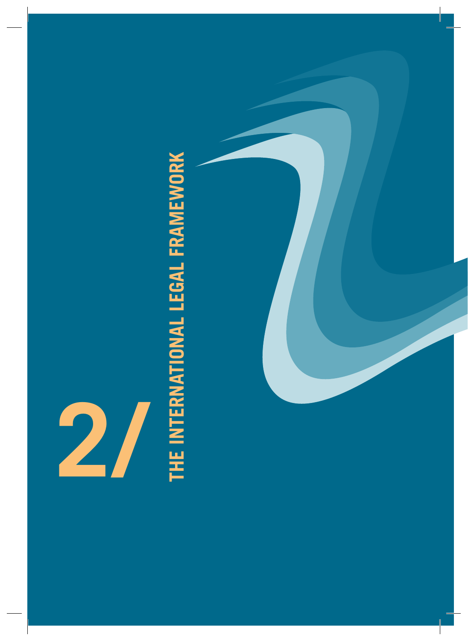

# <span id="page-18-0"></span>THE INTERNATIONAL LEGAL FRAMEWORK **THE INTERNATIONAL LEGAL FRAMEWORK**

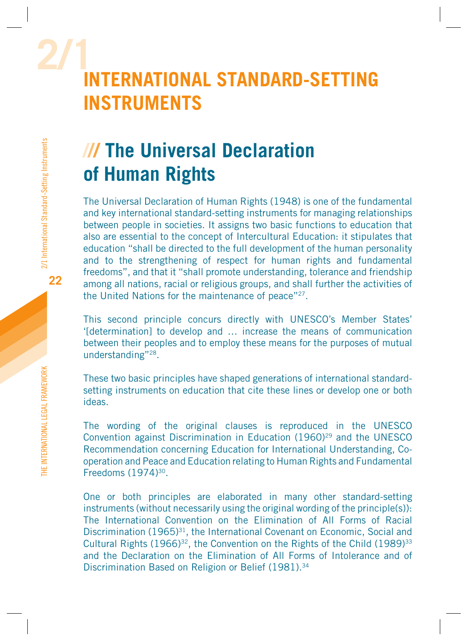# **2/1INTERNATIONAL STANDARD-SETTING INSTRUMENTS**

# **/// The Universal Declaration of Human Rights**

The Universal Declaration of Human Rights (1948) is one of the fundamental and key international standard-setting instruments for managing relationships between people in societies. It assigns two basic functions to education that also are essential to the concept of Intercultural Education: it stipulates that education "shall be directed to the full development of the human personality and to the strengthening of respect for human rights and fundamental freedoms", and that it "shall promote understanding, tolerance and friendship among all nations, racial or religious groups, and shall further the activities of the United Nations for the maintenance of peace"<sup>27</sup>.

This second principle concurs directly with UNESCO's Member States' '[determination] to develop and … increase the means of communication between their peoples and to employ these means for the purposes of mutual understanding"28.

These two basic principles have shaped generations of international standardsetting instruments on education that cite these lines or develop one or both ideas.

The wording of the original clauses is reproduced in the UNESCO Convention against Discrimination in Education (1960)<sup>29</sup> and the UNESCO Recommendation concerning Education for International Understanding, Cooperation and Peace and Education relating to Human Rights and Fundamental Freedoms (1974)30.

One or both principles are elaborated in many other standard-setting instruments (without necessarily using the original wording of the principle(s)): The International Convention on the Elimination of All Forms of Racial Discrimination (1965)<sup>31</sup>, the International Covenant on Economic, Social and Cultural Rights  $(1966)^{32}$ , the Convention on the Rights of the Child  $(1989)^{33}$ and the Declaration on the Elimination of All Forms of Intolerance and of Discrimination Based on Religion or Belief (1981).<sup>34</sup>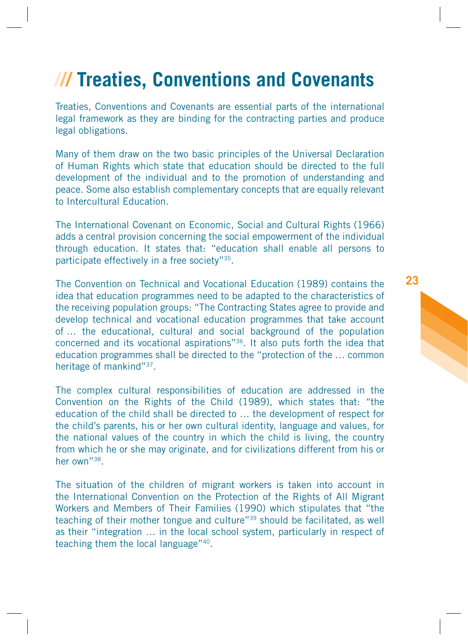# <span id="page-20-0"></span>**/// Treaties, Conventions and Covenants**

Treaties, Conventions and Covenants are essential parts of the international legal framework as they are binding for the contracting parties and produce legal obligations.

Many of them draw on the two basic principles of the Universal Declaration of Human Rights which state that education should be directed to the full development of the individual and to the promotion of understanding and peace. Some also establish complementary concepts that are equally relevant to Intercultural Education.

The International Covenant on Economic, Social and Cultural Rights (1966) adds a central provision concerning the social empowerment of the individual through education. It states that: "education shall enable all persons to participate effectively in a free society"35.

The Convention on Technical and Vocational Education (1989) contains the idea that education programmes need to be adapted to the characteristics of the receiving population groups: "The Contracting States agree to provide and develop technical and vocational education programmes that take account of … the educational, cultural and social background of the population concerned and its vocational aspirations"36. It also puts forth the idea that education programmes shall be directed to the "protection of the … common heritage of mankind"37.

The complex cultural responsibilities of education are addressed in the Convention on the Rights of the Child (1989), which states that: "the education of the child shall be directed to … the development of respect for the child's parents, his or her own cultural identity, language and values, for the national values of the country in which the child is living, the country from which he or she may originate, and for civilizations different from his or her own"38.

The situation of the children of migrant workers is taken into account in the International Convention on the Protection of the Rights of All Migrant Workers and Members of Their Families (1990) which stipulates that "the teaching of their mother tongue and culture"39 should be facilitated, as well as their "integration … in the local school system, particularly in respect of teaching them the local language"40.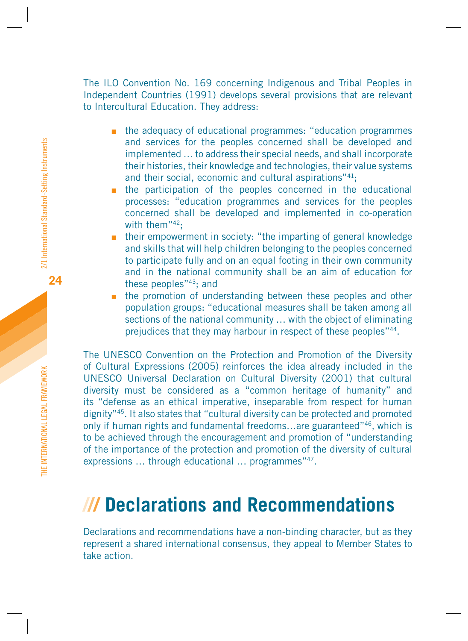<span id="page-21-0"></span>The ILO Convention No. 169 concerning Indigenous and Tribal Peoples in Independent Countries (1991) develops several provisions that are relevant to Intercultural Education. They address:

- **n** the adequacy of educational programmes: "education programmes and services for the peoples concerned shall be developed and implemented … to address their special needs, and shall incorporate their histories, their knowledge and technologies, their value systems and their social, economic and cultural aspirations"<sup>41</sup>;
- **In the participation of the peoples concerned in the educational** processes: "education programmes and services for the peoples concerned shall be developed and implemented in co-operation with them"<sup>42</sup>:
- **n** their empowerment in society: "the imparting of general knowledge and skills that will help children belonging to the peoples concerned to participate fully and on an equal footing in their own community and in the national community shall be an aim of education for these peoples"43; and
- the promotion of understanding between these peoples and other population groups: "educational measures shall be taken among all sections of the national community ... with the object of eliminating prejudices that they may harbour in respect of these peoples"<sup>44</sup>.

The UNESCO Convention on the Protection and Promotion of the Diversity of Cultural Expressions (2005) reinforces the idea already included in the UNESCO Universal Declaration on Cultural Diversity (2001) that cultural diversity must be considered as a "common heritage of humanity" and its "defense as an ethical imperative, inseparable from respect for human dignity"45. It also states that "cultural diversity can be protected and promoted only if human rights and fundamental freedoms…are guaranteed"46, which is to be achieved through the encouragement and promotion of "understanding of the importance of the protection and promotion of the diversity of cultural expressions ... through educational ... programmes"<sup>47</sup>.

# **/// Declarations and Recommendations**

Declarations and recommendations have a non-binding character, but as they represent a shared international consensus, they appeal to Member States to take action.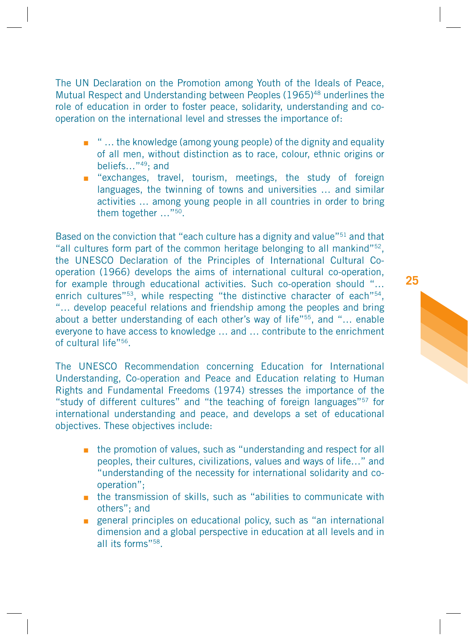The UN Declaration on the Promotion among Youth of the Ideals of Peace, Mutual Respect and Understanding between Peoples (1965)<sup>48</sup> underlines the role of education in order to foster peace, solidarity, understanding and cooperation on the international level and stresses the importance of:

- " ... the knowledge (among young people) of the dignity and equality of all men, without distinction as to race, colour, ethnic origins or beliefs…"49; and
- **Example 1** "exchanges, travel, tourism, meetings, the study of foreign languages, the twinning of towns and universities … and similar activities … among young people in all countries in order to bring them together …"50.

Based on the conviction that "each culture has a dignity and value"<sup>51</sup> and that "all cultures form part of the common heritage belonging to all mankind"52, the UNESCO Declaration of the Principles of International Cultural Cooperation (1966) develops the aims of international cultural co-operation, for example through educational activities. Such co-operation should "… enrich cultures"<sup>53</sup>, while respecting "the distinctive character of each"<sup>54</sup>, "… develop peaceful relations and friendship among the peoples and bring about a better understanding of each other's way of life"55, and "… enable everyone to have access to knowledge … and … contribute to the enrichment of cultural life"56.

The UNESCO Recommendation concerning Education for International Understanding, Co-operation and Peace and Education relating to Human Rights and Fundamental Freedoms (1974) stresses the importance of the "study of different cultures" and "the teaching of foreign languages"57 for international understanding and peace, and develops a set of educational objectives. These objectives include:

- **n** the promotion of values, such as "understanding and respect for all peoples, their cultures, civilizations, values and ways of life…" and "understanding of the necessity for international solidarity and cooperation";
- **n** the transmission of skills, such as "abilities to communicate with others"; and
- **EX EXENUTION SHOW SHOW SHOW SHOWS** general principles on educational such as "an international dimension and a global perspective in education at all levels and in all its forms"58.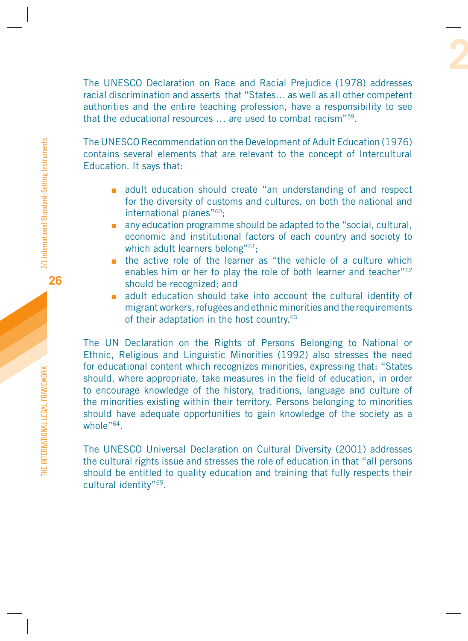The UNESCO Declaration on Race and Racial Prejudice (1978) addresses racial discrimination and asserts that "States… as well as all other competent authorities and the entire teaching profession, have a responsibility to see that the educational resources … are used to combat racism"59.

The UNESCO Recommendation on the Development of Adult Education (1976) contains several elements that are relevant to the concept of Intercultural Education. It says that:

- adult education should create "an understanding of and respect for the diversity of customs and cultures, on both the national and international planes"<sup>60</sup>:
- any education programme should be adapted to the "social, cultural, economic and institutional factors of each country and society to which adult learners belong"<sup>61</sup>;
- the active role of the learner as "the vehicle of a culture which enables him or her to play the role of both learner and teacher"<sup>62</sup> should be recognized; and
- adult education should take into account the cultural identity of migrant workers, refugees and ethnic minorities and the requirements of their adaptation in the host country.<sup>63</sup>

The UN Declaration on the Rights of Persons Belonging to National or Ethnic, Religious and Linguistic Minorities (1992) also stresses the need for educational content which recognizes minorities, expressing that: "States should, where appropriate, take measures in the field of education, in order to encourage knowledge of the history, traditions, language and culture of the minorities existing within their territory. Persons belonging to minorities should have adequate opportunities to gain knowledge of the society as a whole"<sup>64</sup>

The UNESCO Universal Declaration on Cultural Diversity (2001) addresses the cultural rights issue and stresses the role of education in that "all persons should be entitled to quality education and training that fully respects their cultural identity"65.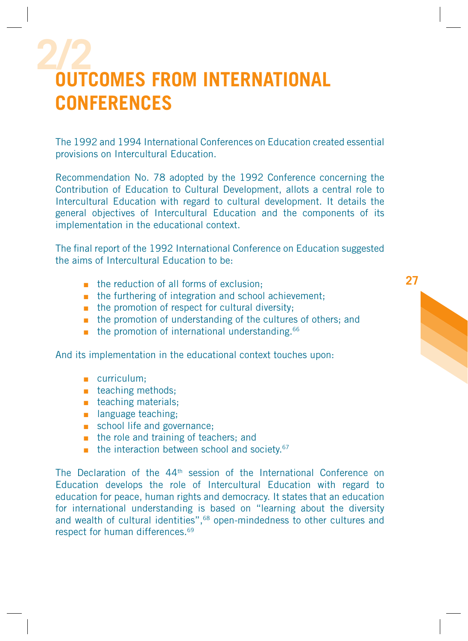# <span id="page-24-0"></span>**2/2 OUTCOMES FROM INTERNATIONAL CONFERENCES**

The 1992 and 1994 International Conferences on Education created essential provisions on Intercultural Education.

Recommendation No. 78 adopted by the 1992 Conference concerning the Contribution of Education to Cultural Development, allots a central role to Intercultural Education with regard to cultural development. It details the general objectives of Intercultural Education and the components of its implementation in the educational context.

The final report of the 1992 International Conference on Education suggested the aims of Intercultural Education to be:

- **h** the reduction of all forms of exclusion;
- the furthering of integration and school achievement;
- **n** the promotion of respect for cultural diversity;
- **n** the promotion of understanding of the cultures of others; and
- the promotion of international understanding.<sup>66</sup>

And its implementation in the educational context touches upon:

- **curriculum**;
- **u** teaching methods;
- **u** teaching materials;
- **n** language teaching;
- school life and governance;
- **he role and training of teachers; and**
- $\blacksquare$  the interaction between school and society.<sup>67</sup>

The Declaration of the 44th session of the International Conference on Education develops the role of Intercultural Education with regard to education for peace, human rights and democracy. It states that an education for international understanding is based on "learning about the diversity and wealth of cultural identities",<sup>68</sup> open-mindedness to other cultures and respect for human differences.<sup>69</sup>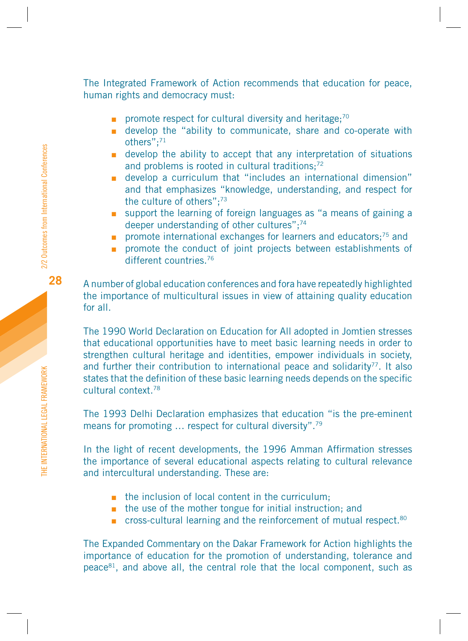The Integrated Framework of Action recommends that education for peace, human rights and democracy must:

- promote respect for cultural diversity and heritage;<sup>70</sup>
- **E** develop the "ability to communicate, share and co-operate with others";71
- develop the ability to accept that any interpretation of situations and problems is rooted in cultural traditions:<sup>72</sup>
- develop a curriculum that "includes an international dimension" and that emphasizes "knowledge, understanding, and respect for the culture of others";73
- support the learning of foreign languages as "a means of gaining a deeper understanding of other cultures";<sup>74</sup>
- **Promote international exchanges for learners and educators;**<sup>75</sup> and
- **promote the conduct of joint projects between establishments of** different countries.<sup>76</sup>

A number of global education conferences and fora have repeatedly highlighted the importance of multicultural issues in view of attaining quality education for all.

The 1990 World Declaration on Education for All adopted in Jomtien stresses that educational opportunities have to meet basic learning needs in order to strengthen cultural heritage and identities, empower individuals in society, and further their contribution to international peace and solidarity<sup>77</sup>. It also states that the definition of these basic learning needs depends on the specific cultural context.78

The 1993 Delhi Declaration emphasizes that education "is the pre-eminent means for promoting … respect for cultural diversity".79

In the light of recent developments, the 1996 Amman Affirmation stresses the importance of several educational aspects relating to cultural relevance and intercultural understanding. These are:

- the inclusion of local content in the curriculum;
- **n** the use of the mother tongue for initial instruction; and
- cross-cultural learning and the reinforcement of mutual respect.<sup>80</sup>

The Expanded Commentary on the Dakar Framework for Action highlights the importance of education for the promotion of understanding, tolerance and peace81, and above all, the central role that the local component, such as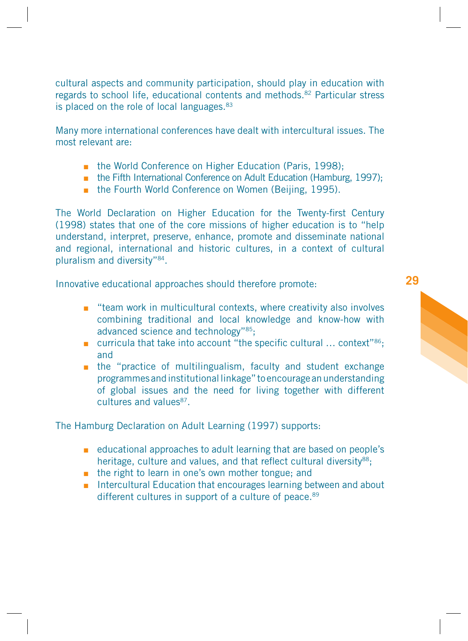cultural aspects and community participation, should play in education with regards to school life, educational contents and methods.82 Particular stress is placed on the role of local languages.<sup>83</sup>

Many more international conferences have dealt with intercultural issues. The most relevant are:

- **the World Conference on Higher Education (Paris, 1998);**
- the Fifth International Conference on Adult Education (Hamburg, 1997);
- **the Fourth World Conference on Women (Beijing, 1995).**

The World Declaration on Higher Education for the Twenty-first Century (1998) states that one of the core missions of higher education is to "help understand, interpret, preserve, enhance, promote and disseminate national and regional, international and historic cultures, in a context of cultural pluralism and diversity"84.

Innovative educational approaches should therefore promote:

- **EXT** "team work in multicultural contexts, where creativity also involves combining traditional and local knowledge and know-how with advanced science and technology"85;
- $\blacksquare$  curricula that take into account "the specific cultural ... context"<sup>86</sup>; and
- **n** the "practice of multilingualism, faculty and student exchange programmes and institutional linkage" to encourage an understanding of global issues and the need for living together with different cultures and values87.

The Hamburg Declaration on Adult Learning (1997) supports:

- **EXEDENT** educational approaches to adult learning that are based on people's heritage, culture and values, and that reflect cultural diversity<sup>88</sup>;
- the right to learn in one's own mother tongue; and
- **Intercultural Education that encourages learning between and about** different cultures in support of a culture of peace.<sup>89</sup>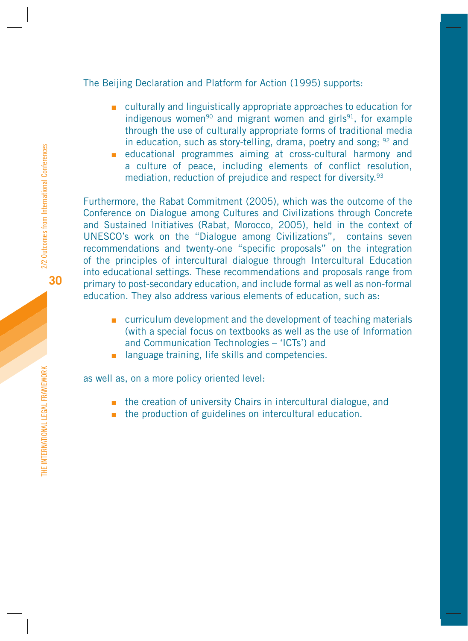### The Beijing Declaration and Platform for Action (1995) supports:

- **EXECUTE:** culturally and linguistically appropriate approaches to education for indigenous women<sup>90</sup> and migrant women and girls<sup>91</sup>, for example through the use of culturally appropriate forms of traditional media in education, such as story-telling, drama, poetry and song:  $92$  and
- educational programmes aiming at cross-cultural harmony and a culture of peace, including elements of conflict resolution, mediation, reduction of prejudice and respect for diversity.<sup>93</sup>

Furthermore, the Rabat Commitment (2005), which was the outcome of the Conference on Dialogue among Cultures and Civilizations through Concrete and Sustained Initiatives (Rabat, Morocco, 2005), held in the context of UNESCO's work on the "Dialogue among Civilizations", contains seven recommendations and twenty-one "specific proposals" on the integration of the principles of intercultural dialogue through Intercultural Education into educational settings. These recommendations and proposals range from primary to post-secondary education, and include formal as well as non-formal education. They also address various elements of education, such as:

- **EXECUTE:** curriculum development and the development of teaching materials (with a special focus on textbooks as well as the use of Information and Communication Technologies – 'ICTs') and
- **a** language training, life skills and competencies.

as well as, on a more policy oriented level:

- **n** the creation of university Chairs in intercultural dialogue, and
- **n** the production of guidelines on intercultural education.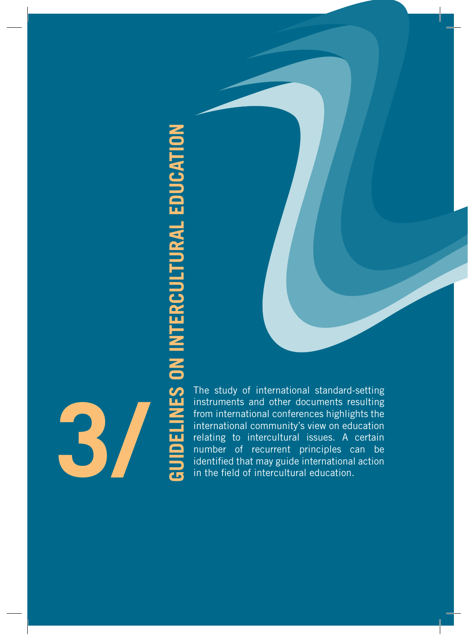**3/**

<span id="page-28-0"></span>**GUIDELINES ON THE STANDARY OF THE STANDARY OF THE STANDARY OF THE STANDARY CONTRACT OF THE STANDARY CONTRACT OF THE STANDARY CONTRACT OF THE MORE CONTRACT OF THE MORE CONTRACT OF THE MORE CONTRACT OF THE MORE CONTRACT OF** instruments and other documents resulting from international conferences highlights the international community's view on education relating to intercultural issues. A certain number of recurrent principles can be identified that may guide international action in the field of intercultural education.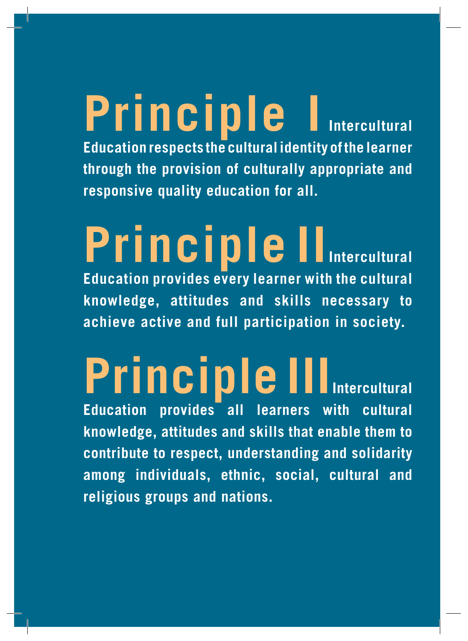# **Principle I Intercultural Education respects the cultural identity of the learner through the provision of culturally appropriate and responsive quality education for all.**

# **Principle II** Intercultural **Education provides every learner with the cultural knowledge, attitudes and skills necessary to achieve active and full participation in society.**

# **Principle III** Intercultural

**Education provides all learners with cultural knowledge, attitudes and skills that enable them to contribute to respect, understanding and solidarity among individuals, ethnic, social, cultural and religious groups and nations.**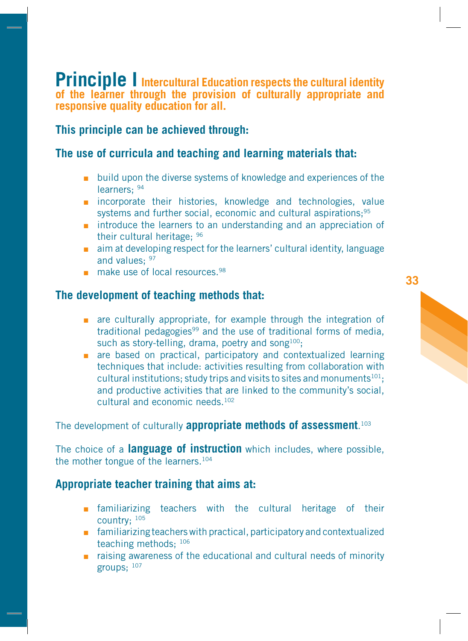<span id="page-30-0"></span>**Principle I** Intercultural Education respects the cultural identity **of the learner through the provision of culturally appropriate and responsive quality education for all.**

# **This principle can be achieved through:**

# **The use of curricula and teaching and learning materials that:**

- **Diam** build upon the diverse systems of knowledge and experiences of the learners; 94
- n incorporate their histories, knowledge and technologies, value systems and further social, economic and cultural aspirations;<sup>95</sup>
- **n** introduce the learners to an understanding and an appreciation of their cultural heritage; 96
- aim at developing respect for the learners' cultural identity, language and values<sup>, 97</sup>
- make use of local resources.<sup>98</sup>

# **The development of teaching methods that:**

- **a** are culturally appropriate, for example through the integration of traditional pedagogies<sup>99</sup> and the use of traditional forms of media. such as story-telling, drama, poetry and song<sup>100</sup>;
- **a** are based on practical, participatory and contextualized learning techniques that include: activities resulting from collaboration with cultural institutions; study trips and visits to sites and monuments $101$ ; and productive activities that are linked to the community's social, cultural and economic needs.<sup>102</sup>

# The development of culturally **appropriate methods of assessment**. 103

The choice of a **language of instruction** which includes, where possible, the mother tongue of the learners.104

### **Appropriate teacher training that aims at:**

- **n** familiarizing teachers with the cultural heritage of their country; 105
- **Familiarizing teachers with practical, participatory and contextualized** teaching methods; 106
- **EXTERG** 1 raising awareness of the educational and cultural needs of minority groups; 107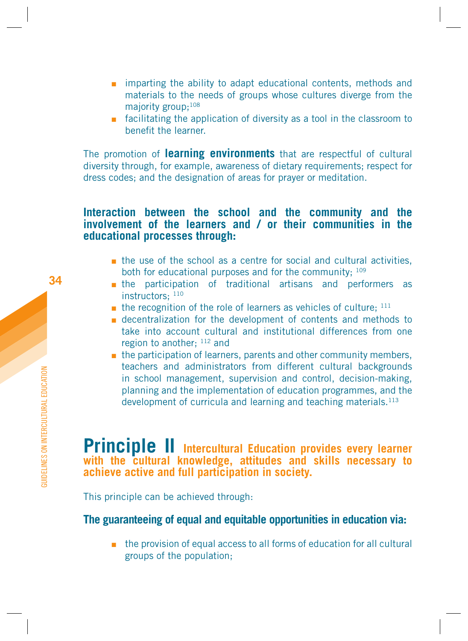- <span id="page-31-0"></span>**n** imparting the ability to adapt educational contents, methods and materials to the needs of groups whose cultures diverge from the majority group;<sup>108</sup>
- **EXT** facilitating the application of diversity as a tool in the classroom to benefit the learner.

The promotion of **learning environments** that are respectful of cultural diversity through, for example, awareness of dietary requirements; respect for dress codes; and the designation of areas for prayer or meditation.

### **Interaction between the school and the community and the involvement of the learners and / or their communities in the educational processes through:**

- $\blacksquare$  the use of the school as a centre for social and cultural activities, both for educational purposes and for the community: 109
- the participation of traditional artisans and performers as instructors<sup>, 110</sup>
- $\blacksquare$  the recognition of the role of learners as vehicles of culture;  $^{111}$
- **Exercise 1** decentralization for the development of contents and methods to take into account cultural and institutional differences from one region to another: 112 and
- $\blacksquare$  the participation of learners, parents and other community members, teachers and administrators from different cultural backgrounds in school management, supervision and control, decision-making, planning and the implementation of education programmes, and the development of curricula and learning and teaching materials.113

# **Principle II** Intercultural Education provides every learner **with the cultural knowledge, attitudes and skills necessary to achieve active and full participation in society.**

This principle can be achieved through:

# **The guaranteeing of equal and equitable opportunities in education via:**

■ the provision of equal access to all forms of education for all cultural groups of the population;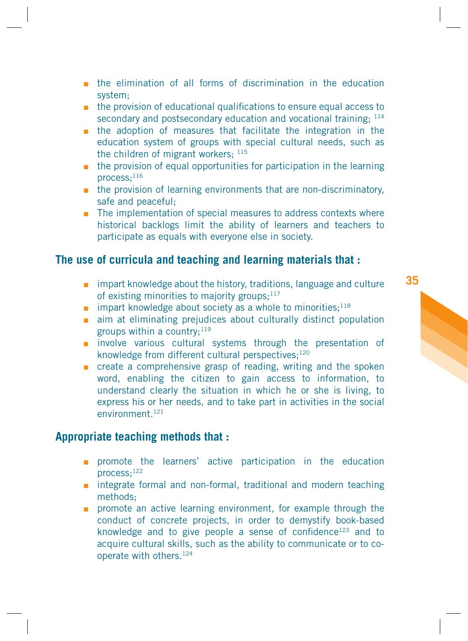- **In the elimination of all forms of discrimination in the education** system;
- **n** the provision of educational qualifications to ensure equal access to secondary and postsecondary education and vocational training;  $^{114}$
- **In** the adoption of measures that facilitate the integration in the education system of groups with special cultural needs, such as the children of migrant workers: 115
- **n** the provision of equal opportunities for participation in the learning  $process:$ <sup>116</sup>
- **n** the provision of learning environments that are non-discriminatory, safe and peaceful;
- The implementation of special measures to address contexts where historical backlogs limit the ability of learners and teachers to participate as equals with everyone else in society.

# **The use of curricula and teaching and learning materials that :**

- **n** impart knowledge about the history, traditions, language and culture of existing minorities to majority groups; $117$
- $\blacksquare$  impart knowledge about society as a whole to minorities;<sup>118</sup>
- aim at eliminating prejudices about culturally distinct population groups within a country: $119$
- numbly involve various cultural systems through the presentation of knowledge from different cultural perspectives;<sup>120</sup>
- **n** create a comprehensive grasp of reading, writing and the spoken word, enabling the citizen to gain access to information, to understand clearly the situation in which he or she is living, to express his or her needs, and to take part in activities in the social environment<sup>121</sup>

# **Appropriate teaching methods that :**

- **promote the learners' active participation in the education** process;122
- **n** integrate formal and non-formal, traditional and modern teaching methods;
- **n** promote an active learning environment, for example through the conduct of concrete projects, in order to demystify book-based knowledge and to give people a sense of confidence<sup>123</sup> and to acquire cultural skills, such as the ability to communicate or to cooperate with others.124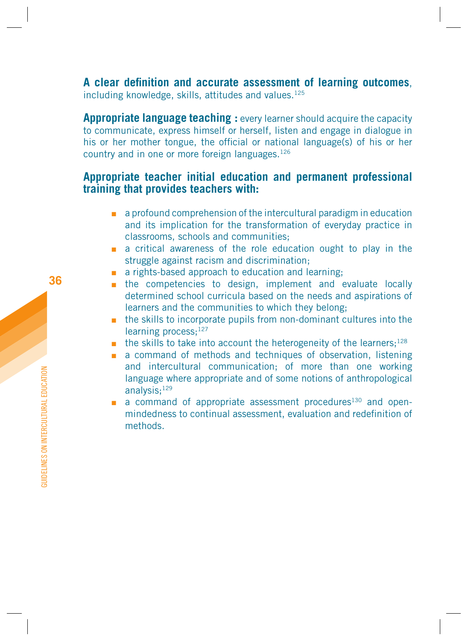A clear definition and accurate assessment of learning outcomes, including knowledge, skills, attitudes and values.<sup>125</sup>

**Appropriate language teaching :** every learner should acquire the capacity to communicate, express himself or herself, listen and engage in dialogue in his or her mother tongue, the official or national language(s) of his or her country and in one or more foreign languages.126

### **Appropriate teacher initial education and permanent professional training that provides teachers with:**

- a profound comprehension of the intercultural paradigm in education and its implication for the transformation of everyday practice in classrooms, schools and communities;
- a critical awareness of the role education ought to play in the struggle against racism and discrimination;
- a rights-based approach to education and learning;
- **n** the competencies to design, implement and evaluate locally determined school curricula based on the needs and aspirations of learners and the communities to which they belong;
- **the skills to incorporate pupils from non-dominant cultures into the** learning process: 127
- $\blacksquare$  the skills to take into account the heterogeneity of the learners;<sup>128</sup>
- a command of methods and techniques of observation, listening and intercultural communication; of more than one working language where appropriate and of some notions of anthropological analysis;129
- a command of appropriate assessment procedures<sup>130</sup> and openmindedness to continual assessment, evaluation and redefinition of methods.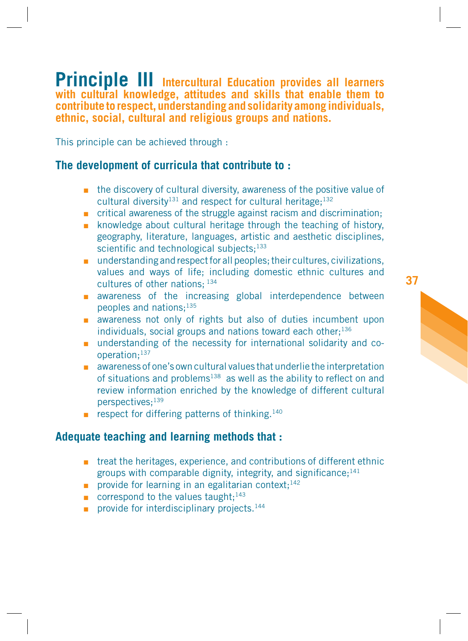<span id="page-34-0"></span>**Principle III Intercultural Education provides all learners with cultural knowledge, attitudes and skills that enable them to contribute to respect, understanding and solidarity among individuals, ethnic, social, cultural and religious groups and nations.**

This principle can be achieved through :

# **The development of curricula that contribute to :**

- **n** the discovery of cultural diversity, awareness of the positive value of cultural diversity<sup>131</sup> and respect for cultural heritage;<sup>132</sup>
- critical awareness of the struggle against racism and discrimination;
- **EXEDEE A** knowledge about cultural heritage through the teaching of history, geography, literature, languages, artistic and aesthetic disciplines, scientific and technological subjects; $133$
- **n** understanding and respect for all peoples; their cultures, civilizations, values and ways of life; including domestic ethnic cultures and cultures of other nations; 134
- **a** awareness of the increasing global interdependence between peoples and nations;135
- **a** awareness not only of rights but also of duties incumbent upon individuals, social groups and nations toward each other: $136$
- **understanding of the necessity for international solidarity and co**operation;137
- **a** awareness of one's own cultural values that underlie the interpretation of situations and problems<sup>138</sup> as well as the ability to reflect on and review information enriched by the knowledge of different cultural perspectives;139
- **PEDECT** respect for differing patterns of thinking.<sup>140</sup>

# **Adequate teaching and learning methods that :**

- **The treat the heritages, experience, and contributions of different ethnic** groups with comparable dignity, integrity, and significance; $141$
- provide for learning in an egalitarian context;<sup>142</sup>
- correspond to the values taught; $143$
- provide for interdisciplinary projects.<sup>144</sup>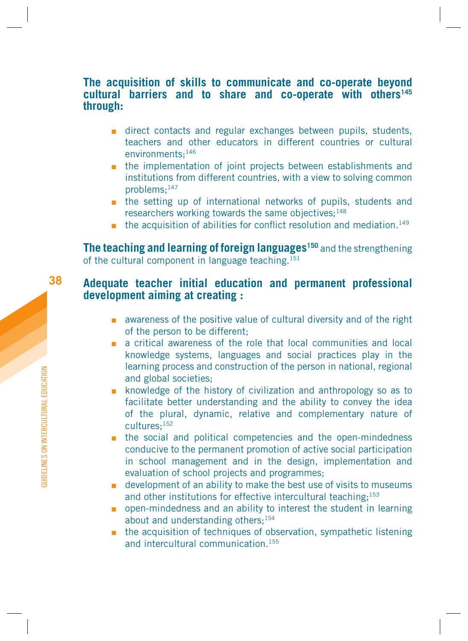### **The acquisition of skills to communicate and co-operate beyond cultural barriers and to share and co-operate with others145 through:**

- **direct contacts and regular exchanges between pupils, students,** teachers and other educators in different countries or cultural environments;146
- **n** the implementation of joint projects between establishments and institutions from different countries, with a view to solving common problems;147
- **the setting up of international networks of pupils, students and** researchers working towards the same objectives; $148$
- $\blacksquare$  the acquisition of abilities for conflict resolution and mediation.<sup>149</sup>

**The teaching and learning of foreign languages<sup>150</sup> and the strengthening** of the cultural component in language teaching.<sup>151</sup>

### **Adequate teacher initial education and permanent professional development aiming at creating :**

- **EXECUTE:** awareness of the positive value of cultural diversity and of the right of the person to be different;
- a critical awareness of the role that local communities and local knowledge systems, languages and social practices play in the learning process and construction of the person in national, regional and global societies;
- **EX howledge of the history of civilization and anthropology so as to** facilitate better understanding and the ability to convey the idea of the plural, dynamic, relative and complementary nature of cultures;152
- **n** the social and political competencies and the open-mindedness conducive to the permanent promotion of active social participation in school management and in the design, implementation and evaluation of school projects and programmes;
- **u** development of an ability to make the best use of visits to museums and other institutions for effective intercultural teaching;<sup>153</sup>
- **paraminal open-mindedness and an ability to interest the student in learning** about and understanding others;154
- **the acquisition of techniques of observation, sympathetic listening** and intercultural communication<sup>155</sup>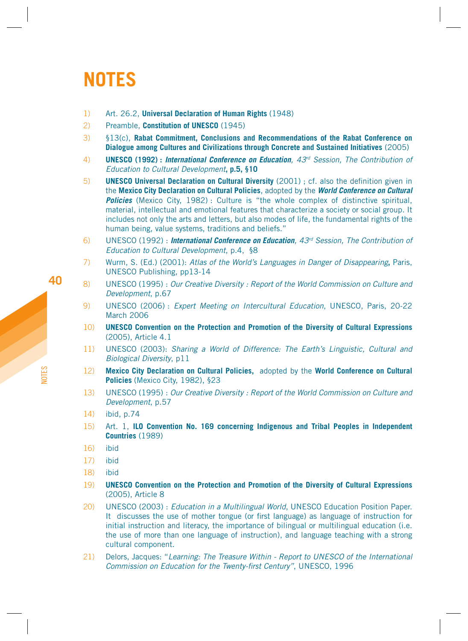# <span id="page-36-0"></span>**NOTES**

- 1) Art. 26.2, **Universal Declaration of Human Rights** (1948)
- 2) Preamble, **Constitution of UNESCO** (1945)
- 3) §13(c), **Rabat Commitment, Conclusions and Recommendations of the Rabat Conference on Dialogue among Cultures and Civilizations through Concrete and Sustained Initiatives** (2005)
- 4) **UNESCO (1992) : International Conference on Education**, 43rd Session, The Contribution of Education to Cultural Development**, p.5, §10**
- 5) **UNESCO Universal Declaration on Cultural Diversity** (2001) ; cf. also the definition given in the **Mexico City Declaration on Cultural Policies**, adopted by the **World Conference on Cultural Policies** (Mexico City, 1982): Culture is "the whole complex of distinctive spiritual, material, intellectual and emotional features that characterize a society or social group. It includes not only the arts and letters, but also modes of life, the fundamental rights of the human being, value systems, traditions and beliefs."
- 6) UNESCO (1992) : **International Conference on Education**, 43<sup>rd</sup> Session, The Contribution of Education to Cultural Development, p.4, §8
- 7) Wurm, S. (Ed.) (2001): Atlas of the World's Languages in Danger of Disappearing**,** Paris, UNESCO Publishing, pp13-14
- 8) UNESCO (1995) : Our Creative Diversity : Report of the World Commission on Culture and Development, p.67
- 9) UNESCO (2006) : Expert Meeting on Intercultural Education, UNESCO, Paris, 20-22 March 2006
- 10) **UNESCO Convention on the Protection and Promotion of the Diversity of Cultural Expressions**  (2005), Article 4.1
- 11) UNESCO (2003): Sharing a World of Difference: The Earth's Linguistic, Cultural and Biological Diversity, p11
- 12) **Mexico City Declaration on Cultural Policies,** adopted by the **World Conference on Cultural Policies** (Mexico City, 1982), §23
- 13) UNESCO (1995) : Our Creative Diversity : Report of the World Commission on Culture and Development, p.57
- 14) ibid, p.74
- 15) Art. 1, **ILO Convention No. 169 concerning Indigenous and Tribal Peoples in Independent Countries** (1989)
- 16) ibid
- 17) ibid
- 18) ibid
- 19) **UNESCO Convention on the Protection and Promotion of the Diversity of Cultural Expressions**  (2005), Article 8
- 20) UNESCO (2003) : Education in a Multilingual World, UNESCO Education Position Paper. It discusses the use of mother tongue (or first language) as language of instruction for initial instruction and literacy, the importance of bilingual or multilingual education (i.e. the use of more than one language of instruction), and language teaching with a strong cultural component.
- 21) Delors, Jacques: "Learning: The Treasure Within Report to UNESCO of the International Commission on Education for the Twenty-first Century", UNESCO, 1996

NOTES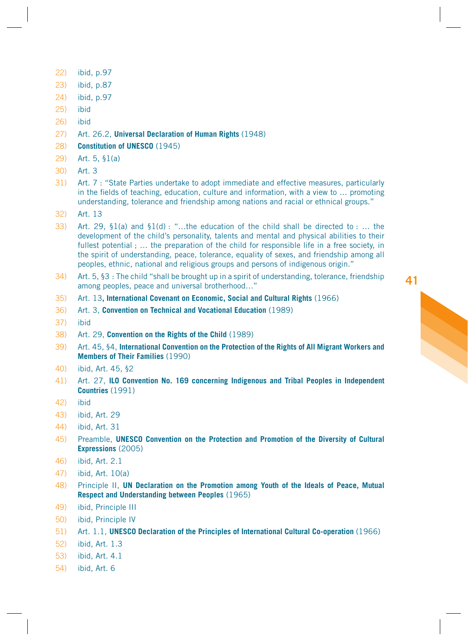- 22) ibid, p.97
- 23) ibid, p.87
- 24) ibid, p.97
- 25) ibid
- 26) ibid
- 27) Art. 26.2, **Universal Declaration of Human Rights** (1948)
- 28) **Constitution of UNESCO** (1945)
- 29) Art. 5, §1(a)
- 30) Art. 3
- 31) Art. 7 : "State Parties undertake to adopt immediate and effective measures, particularly in the fields of teaching, education, culture and information, with a view to  $\ldots$  promoting understanding, tolerance and friendship among nations and racial or ethnical groups."
- 32) Art. 13
- 33) Art. 29, §1(a) and §1(d) : "…the education of the child shall be directed to : … the development of the child's personality, talents and mental and physical abilities to their fullest potential  $\ldots$  the preparation of the child for responsible life in a free society, in the spirit of understanding, peace, tolerance, equality of sexes, and friendship among all peoples, ethnic, national and religious groups and persons of indigenous origin."
- 34) Art. 5, §3 : The child "shall be brought up in a spirit of understanding, tolerance, friendship among peoples, peace and universal brotherhood…"
- 35) Art. 13**, International Covenant on Economic, Social and Cultural Rights** (1966)
- 36) Art. 3, **Convention on Technical and Vocational Education** (1989)
- 37) ibid
- 38) Art. 29, **Convention on the Rights of the Child** (1989)
- 39) Art. 45, §4, **International Convention on the Protection of the Rights of All Migrant Workers and Members of Their Families** (1990)
- 40) ibid, Art. 45, §2
- 41) Art. 27, **ILO Convention No. 169 concerning Indigenous and Tribal Peoples in Independent Countries** (1991)
- 42) ibid
- 43) ibid, Art. 29
- 44) ibid, Art. 31
- 45) Preamble, **UNESCO Convention on the Protection and Promotion of the Diversity of Cultural Expressions** (2005)
- 46) ibid, Art. 2.1
- 47) ibid, Art. 10(a)
- 48) Principle II, **UN Declaration on the Promotion among Youth of the Ideals of Peace, Mutual Respect and Understanding between Peoples** (1965)
- 49) ibid, Principle III
- 50) ibid, Principle IV
- 51) Art. 1.1, **UNESCO Declaration of the Principles of International Cultural Co-operation** (1966)
- 52) ibid, Art. 1.3
- 53) ibid, Art. 4.1
- 54) ibid, Art. 6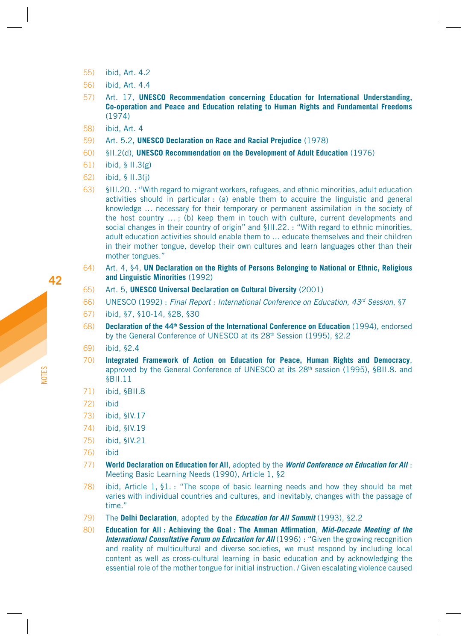- 55) ibid, Art. 4.2
- 56) ibid, Art. 4.4
- 57) Art. 17, **UNESCO Recommendation concerning Education for International Understanding, Co-operation and Peace and Education relating to Human Rights and Fundamental Freedoms** (1974)
- 58) ibid, Art. 4
- 59) Art. 5.2, **UNESCO Declaration on Race and Racial Prejudice** (1978)
- 60) §II.2(d), **UNESCO Recommendation on the Development of Adult Education** (1976)
- 61) ibid, § II.3(g)
- 62) ibid, § II.3(j)
- 63) §III.20. : "With regard to migrant workers, refugees, and ethnic minorities, adult education activities should in particular : (a) enable them to acquire the linguistic and general knowledge … necessary for their temporary or permanent assimilation in the society of the host country … ; (b) keep them in touch with culture, current developments and social changes in their country of origin" and §III.22. : "With regard to ethnic minorities, adult education activities should enable them to … educate themselves and their children in their mother tongue, develop their own cultures and learn languages other than their mother tongues."
- 64) Art. 4, §4, **UN Declaration on the Rights of Persons Belonging to National or Ethnic, Religious and Linguistic Minorities** (1992)
- 65) Art. 5, **UNESCO Universal Declaration on Cultural Diversity** (2001)
- 66) UNESCO (1992) : Final Report : International Conference on Education, 43<sup>rd</sup> Session, §7
- 67) ibid, §7, §10-14, §28, §30
- 68) **Declaration of the 44<sup>th</sup> Session of the International Conference on Education** (1994), endorsed by the General Conference of UNESCO at its 28<sup>th</sup> Session (1995), §2.2
- 69) ibid, §2.4
- 70) **Integrated Framework of Action on Education for Peace, Human Rights and Democracy**, approved by the General Conference of UNESCO at its 28<sup>th</sup> session (1995), §BII.8. and §BII.11
- 71) ibid, §BII.8
- 72) ibid
- 73) ibid, §IV.17
- 74) ibid, §IV.19
- 75) ibid, §IV.21
- 76) ibid
- 77) **World Declaration on Education for All**, adopted by the **World Conference on Education for All** : Meeting Basic Learning Needs (1990), Article 1, §2
- 78) ibid, Article 1, §1. : "The scope of basic learning needs and how they should be met varies with individual countries and cultures, and inevitably, changes with the passage of time."
- 79) The **Delhi Declaration**, adopted by the **Education for All Summit** (1993), §2.2
- 80) **Education for All : Achieving the Goal : The Amman Affirmation, Mid-Decade Meeting of the International Consultative Forum on Education for AII** (1996) : "Given the growing recognition and reality of multicultural and diverse societies, we must respond by including local content as well as cross-cultural learning in basic education and by acknowledging the essential role of the mother tongue for initial instruction. / Given escalating violence caused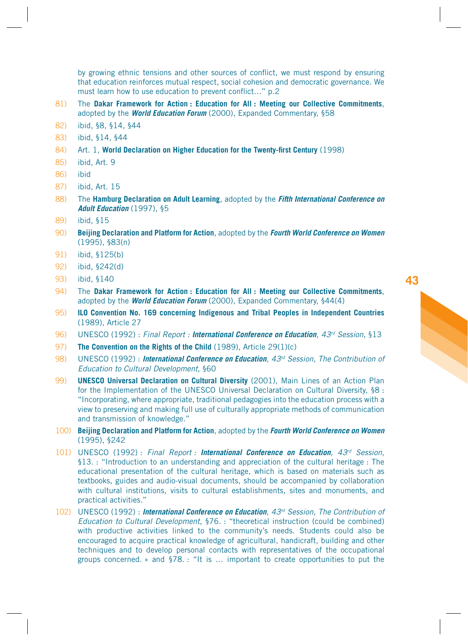by growing ethnic tensions and other sources of conflict, we must respond by ensuring that education reinforces mutual respect, social cohesion and democratic governance. We must learn how to use education to prevent conflict..." p.2

- 81) The **Dakar Framework for Action : Education for All : Meeting our Collective Commitments**, adopted by the **World Education Forum** (2000), Expanded Commentary, §58
- 82) ibid, §8, §14, §44
- 83) ibid, §14, §44
- 84) Art. 1, **World Declaration on Higher Education for the Twenty-first Century** (1998)
- 85) ibid, Art. 9
- 86) ibid
- 87) ibid, Art. 15
- 88) The **Hamburg Declaration on Adult Learning**, adopted by the **Fifth International Conference on Adult Education** (1997), §5
- 89) ibid, §15
- 90) **Beijing Declaration and Platform for Action**, adopted by the **Fourth World Conference on Women** (1995), §83(n)
- 91) ibid, §125(b)
- 92) ibid, §242(d)
- 93) ibid, §140
- 94) The **Dakar Framework for Action : Education for All : Meeting our Collective Commitments**, adopted by the **World Education Forum** (2000), Expanded Commentary, §44(4)
- 95) **ILO Convention No. 169 concerning Indigenous and Tribal Peoples in Independent Countries** (1989), Article 27
- 96) UNESCO (1992) : Final Report : **International Conference on Education**, 43rd Session, §13
- 97) **The Convention on the Rights of the Child** (1989), Article 29(1)(c)
- 98) UNESCO (1992) : **International Conference on Education**, 43rd Session, The Contribution of Education to Cultural Development, §60
- 99) **UNESCO Universal Declaration on Cultural Diversity** (2001), Main Lines of an Action Plan for the Implementation of the UNESCO Universal Declaration on Cultural Diversity, §8 : "Incorporating, where appropriate, traditional pedagogies into the education process with a view to preserving and making full use of culturally appropriate methods of communication and transmission of knowledge."
- 100) **Beijing Declaration and Platform for Action**, adopted by the **Fourth World Conference on Women** (1995), §242
- 101) UNESCO (1992) : Final Report : **International Conference on Education**, 43rd Session, §13. : "Introduction to an understanding and appreciation of the cultural heritage : The educational presentation of the cultural heritage, which is based on materials such as textbooks, guides and audio-visual documents, should be accompanied by collaboration with cultural institutions, visits to cultural establishments, sites and monuments, and practical activities."
- 102) UNESCO (1992) : **International Conference on Education**, 43rd Session, The Contribution of Education to Cultural Development, §76. : "theoretical instruction (could be combined) with productive activities linked to the community's needs. Students could also be encouraged to acquire practical knowledge of agricultural, handicraft, building and other techniques and to develop personal contacts with representatives of the occupational groups concerned. » and §78. : "It is … important to create opportunities to put the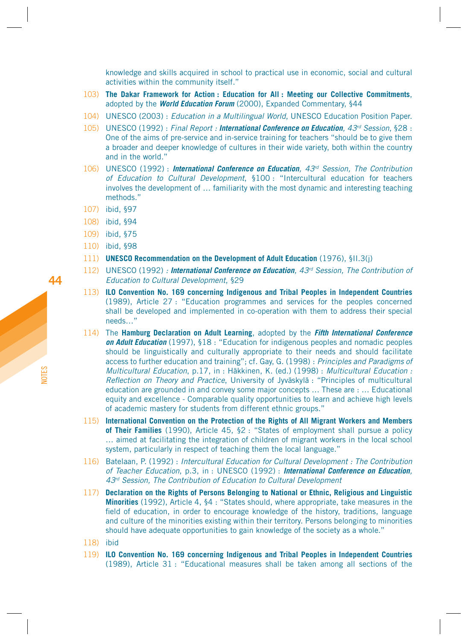knowledge and skills acquired in school to practical use in economic, social and cultural activities within the community itself."

- 103) **The Dakar Framework for Action : Education for All : Meeting our Collective Commitments**, adopted by the **World Education Forum** (2000), Expanded Commentary, §44
- 104) UNESCO (2003) : Education in a Multilingual World, UNESCO Education Position Paper.
- 105) UNESCO (1992) : Final Report : **International Conference on Education**, 43rd Session, §28 : One of the aims of pre-service and in-service training for teachers "should be to give them a broader and deeper knowledge of cultures in their wide variety, both within the country and in the world."
- 106) UNESCO (1992) : **International Conference on Education**, 43rd Session, The Contribution of Education to Cultural Development, §100 : "Intercultural education for teachers involves the development of … familiarity with the most dynamic and interesting teaching methods."
- 107) ibid, §97
- 108) ibid, §94
- 109) ibid, §75
- 110) ibid, §98
- 111) **UNESCO Recommendation on the Development of Adult Education** (1976), §II.3(j)
- 112) UNESCO (1992) : **International Conference on Education**, 43rd Session, The Contribution of Education to Cultural Development, §29
- 113) **ILO Convention No. 169 concerning Indigenous and Tribal Peoples in Independent Countries** (1989), Article 27 : "Education programmes and services for the peoples concerned shall be developed and implemented in co-operation with them to address their special needs…"
- 114) The **Hamburg Declaration on Adult Learning**, adopted by the **Fifth International Conference on Adult Education** (1997), §18 : "Education for indigenous peoples and nomadic peoples should be linguistically and culturally appropriate to their needs and should facilitate access to further education and training"; cf. Gay, G. (1998) : Principles and Paradigms of Multicultural Education, p.17, in : Häkkinen, K. (ed.) (1998) : Multicultural Education : Reflection on Theory and Practice, University of Jyväskylä : "Principles of multicultural education are grounded in and convey some major concepts … These are : … Educational equity and excellence - Comparable quality opportunities to learn and achieve high levels of academic mastery for students from different ethnic groups."
- 115) **International Convention on the Protection of the Rights of All Migrant Workers and Members of Their Families** (1990), Article 45, §2 : "States of employment shall pursue a policy … aimed at facilitating the integration of children of migrant workers in the local school system, particularly in respect of teaching them the local language."
- 116) Batelaan, P. (1992) : Intercultural Education for Cultural Development : The Contribution of Teacher Education, p.3, in : UNESCO (1992) : **International Conference on Education**, 43<sup>rd</sup> Session, The Contribution of Education to Cultural Development
- 117) **Declaration on the Rights of Persons Belonging to National or Ethnic, Religious and Linguistic Minorities** (1992), Article 4, §4 : "States should, where appropriate, take measures in the field of education, in order to encourage knowledge of the history, traditions, language and culture of the minorities existing within their territory. Persons belonging to minorities should have adequate opportunities to gain knowledge of the society as a whole."
- 118) ibid
- 119) **ILO Convention No. 169 concerning Indigenous and Tribal Peoples in Independent Countries** (1989), Article 31 : "Educational measures shall be taken among all sections of the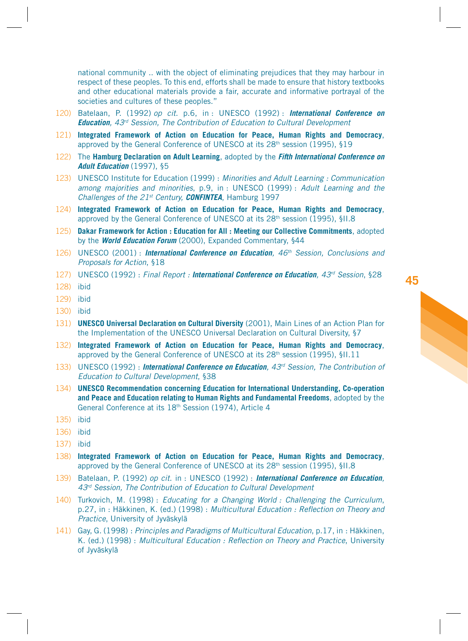national community .. with the object of eliminating prejudices that they may harbour in respect of these peoples. To this end, efforts shall be made to ensure that history textbooks and other educational materials provide a fair, accurate and informative portrayal of the societies and cultures of these peoples."

- 120) Batelaan, P. (1992) op cit. p.6, in : UNESCO (1992) : **International Conference on Education**, 43<sup>rd</sup> Session, The Contribution of Education to Cultural Development
- 121) **Integrated Framework of Action on Education for Peace, Human Rights and Democracy**, approved by the General Conference of UNESCO at its 28th session (1995), §19
- 122) The **Hamburg Declaration on Adult Learning**, adopted by the **Fifth International Conference on Adult Education** (1997), §5
- 123) UNESCO Institute for Education (1999) : Minorities and Adult Learning : Communication among majorities and minorities, p.9, in : UNESCO (1999) : Adult Learning and the Challenges of the 21st Century, **CONFINTEA**, Hamburg 1997
- 124) **Integrated Framework of Action on Education for Peace, Human Rights and Democracy**, approved by the General Conference of UNESCO at its 28<sup>th</sup> session (1995), §II.8
- 125) **Dakar Framework for Action : Education for All : Meeting our Collective Commitments**, adopted by the **World Education Forum** (2000), Expanded Commentary, §44
- 126) UNESCO (2001) : **International Conference on Education**, 46th Session, Conclusions and Proposals for Action, §18
- 127) UNESCO (1992) : Final Report : **International Conference on Education**, 43<sup>rd</sup> Session, §28
- 128) ibid
- 129) ibid
- 130) ibid
- 131) **UNESCO Universal Declaration on Cultural Diversity** (2001), Main Lines of an Action Plan for the Implementation of the UNESCO Universal Declaration on Cultural Diversity, §7
- 132) **Integrated Framework of Action on Education for Peace, Human Rights and Democracy**, approved by the General Conference of UNESCO at its 28th session (1995), §II.11
- 133) UNESCO (1992) : **International Conference on Education**,  $43<sup>rd</sup>$  Session, The Contribution of Education to Cultural Development, §38
- 134) **UNESCO Recommendation concerning Education for International Understanding, Co-operation and Peace and Education relating to Human Rights and Fundamental Freedoms**, adopted by the General Conference at its 18<sup>th</sup> Session (1974), Article 4
- 135) ibid
- 136) ibid
- 137) ibid
- 138) **Integrated Framework of Action on Education for Peace, Human Rights and Democracy**, approved by the General Conference of UNESCO at its 28th session (1995), §II.8
- 139) Batelaan, P. (1992) op cit. in : UNESCO (1992) : **International Conference on Education**, 43<sup>rd</sup> Session, The Contribution of Education to Cultural Development
- 140) Turkovich, M. (1998) : Educating for a Changing World : Challenging the Curriculum, p.27, in : Häkkinen, K. (ed.) (1998) : Multicultural Education : Reflection on Theory and Practice, University of Jyväskylä
- 141) Gay, G. (1998) : Principles and Paradigms of Multicultural Education, p.17, in : Häkkinen, K. (ed.) (1998) : Multicultural Education : Reflection on Theory and Practice, University of Jyväskylä